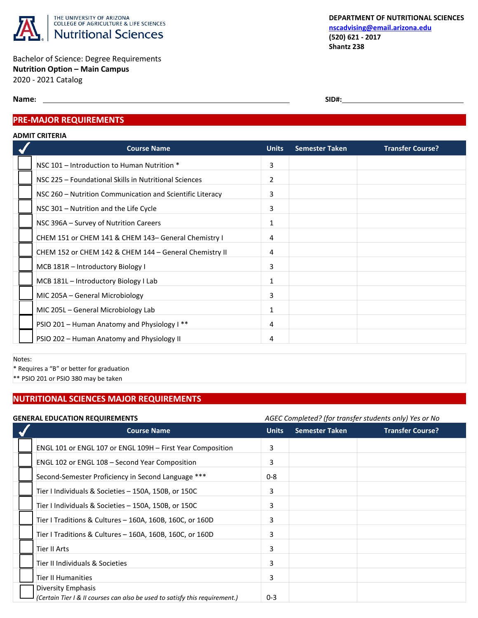

Bachelor of Science: Degree Requirements **Nutrition Option – Main Campus** 2020 - 2021 Catalog

**Name:** SID#:

## **PRE-MAJOR REQUIREMENTS**

#### **ADMIT CRITERIA**

| <b>Course Name</b>                                        | <b>Units</b> | <b>Semester Taken</b> | <b>Transfer Course?</b> |
|-----------------------------------------------------------|--------------|-----------------------|-------------------------|
| NSC 101 - Introduction to Human Nutrition *               | 3            |                       |                         |
| NSC 225 - Foundational Skills in Nutritional Sciences     | 2            |                       |                         |
| NSC 260 – Nutrition Communication and Scientific Literacy | 3            |                       |                         |
| NSC 301 - Nutrition and the Life Cycle                    | 3            |                       |                         |
| NSC 396A - Survey of Nutrition Careers                    | 1            |                       |                         |
| CHEM 151 or CHEM 141 & CHEM 143- General Chemistry I      | 4            |                       |                         |
| CHEM 152 or CHEM 142 & CHEM 144 - General Chemistry II    | 4            |                       |                         |
| MCB 181R - Introductory Biology I                         | 3            |                       |                         |
| MCB 181L - Introductory Biology I Lab                     | $\mathbf{1}$ |                       |                         |
| MIC 205A – General Microbiology                           | 3            |                       |                         |
| MIC 205L - General Microbiology Lab                       | 1            |                       |                         |
| PSIO 201 - Human Anatomy and Physiology I **              | 4            |                       |                         |
| PSIO 202 - Human Anatomy and Physiology II                | 4            |                       |                         |

Notes:

\* Requires a "B" or better for graduation

\*\* PSIO 201 or PSIO 380 may be taken

# **NUTRITIONAL SCIENCES MAJOR REQUIREMENTS**

## **GENERAL EDUCATION REQUIREMENTS** *AGEC Completed? (for transfer students only) Yes or No*

|  |                                                                             | note completed. Hor transfer stadents only resion no |                       |                         |
|--|-----------------------------------------------------------------------------|------------------------------------------------------|-----------------------|-------------------------|
|  | <b>Course Name</b>                                                          | <b>Units</b>                                         | <b>Semester Taken</b> | <b>Transfer Course?</b> |
|  | ENGL 101 or ENGL 107 or ENGL 109H - First Year Composition                  | 3                                                    |                       |                         |
|  | ENGL 102 or ENGL 108 - Second Year Composition                              | 3                                                    |                       |                         |
|  | Second-Semester Proficiency in Second Language ***                          | $0 - 8$                                              |                       |                         |
|  | Tier I Individuals & Societies - 150A, 150B, or 150C                        | 3                                                    |                       |                         |
|  | Tier I Individuals & Societies - 150A, 150B, or 150C                        | 3                                                    |                       |                         |
|  | Tier I Traditions & Cultures - 160A, 160B, 160C, or 160D                    | 3                                                    |                       |                         |
|  | Tier I Traditions & Cultures - 160A, 160B, 160C, or 160D                    | 3                                                    |                       |                         |
|  | Tier II Arts                                                                | 3                                                    |                       |                         |
|  | Tier II Individuals & Societies                                             | 3                                                    |                       |                         |
|  | Tier II Humanities                                                          | 3                                                    |                       |                         |
|  | Diversity Emphasis                                                          |                                                      |                       |                         |
|  | (Certain Tier I & II courses can also be used to satisfy this requirement.) | $0 - 3$                                              |                       |                         |